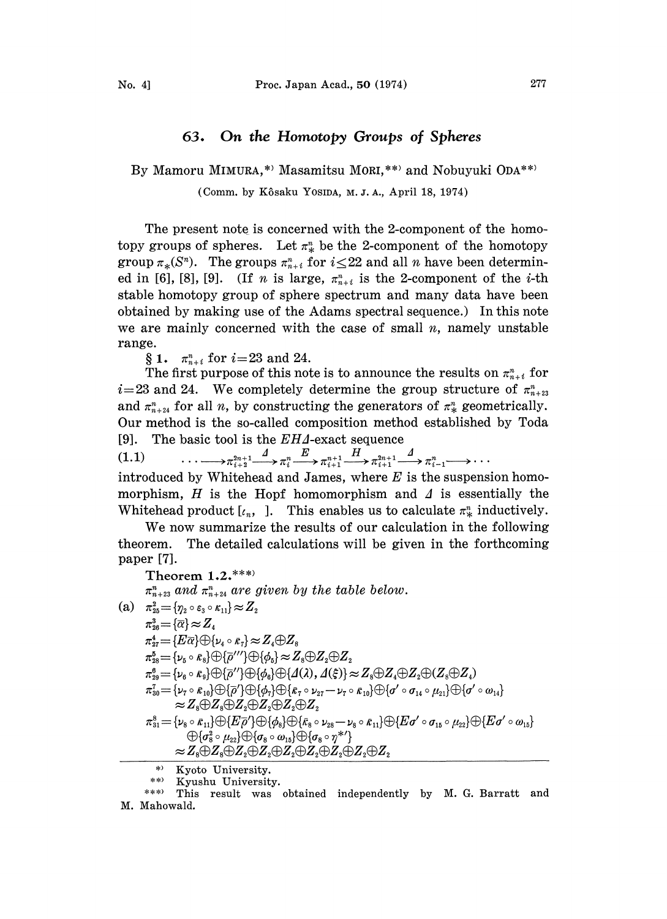## 63. On the Homotopy Groups of Spheres

By Mamoru MIMURA,\*' Masamitsu MORI,\*\*' and Nobuyuki ODA\*\*'

(Comm. by Kôsaku Yosina, M.J.A., April 18, 1974)

The present note is concerned with the 2-component of the homotopy groups of spheres. Let  $\pi_k^n$  be the 2-component of the homotopy group  $\pi_*(S^n)$ . The groups  $\pi_{n+i}^n$  for  $i \leq 22$  and all n have been determined in [6], [8], [9]. (If *n* is large,  $\pi_{n+i}^n$  is the 2-component of the *i*-th stable homotopy group of sphere spectrum and many data have been obtained by making use of the Adams spectral sequence.) In this note we are mainly concerned with the case of small  $n$ , namely unstable range.

§ 1.  $\pi_{n+i}^n$  for  $i=23$  and 24.

The first purpose of this note is to announce the results on  $\pi_{n+i}^n$  for  $i=23$  and 24. We completely determine the group structure of  $\pi_{n+23}^n$ and  $\pi_{n+24}^n$  for all n, by constructing the generators of  $\pi_{*}^n$  geometrically. Our method is the so-called composition method established by Toda [9]. The basic tool is the  $EHA$ -exact sequence

 $\pi_{i+1}^2 \longrightarrow \pi_{i+2}^{2n+1} \longrightarrow \pi_i^n \longrightarrow \pi_{i+1}^{n+1} \longrightarrow \pi_{i+1}^{2n+1} \longrightarrow \pi_{i+1}^2 \longrightarrow \pi_{i-1}^n \longrightarrow \cdots$ 

introduced by Whitehead and James, where  $E$  is the suspension homomorphism,  $H$  is the Hopf homomorphism and  $\Delta$  is essentially the Whitehead product  $[\iota_n, ]$ . This enables us to calculate  $\pi^i_*$  inductively.

We now summarize the results of our calculation in the following theorem. The detailed calculations will be given in the forthcoming paper [7].

Theorem  $1.2.****$  $\pi_{n+23}^n$  and  $\pi_{n+24}^n$  are given by the table below. (a)  $\pi^2_{25} = {\gamma_2 \circ \varepsilon_3 \circ \kappa_{11}} \approx Z_2$  $\pi_{26}^3 = {\overline{\alpha}} \approx Z_4$  $\pi_{27}^4 = \{E\overline{\alpha}\}\oplus\{\nu_4\circ\overline{\kappa_7}\}\approx Z_4\oplus Z_8$  $\pi_{28}^5 = {\{\nu_{5} \circ \bar{\kappa}_{8}\}} \oplus {\{\bar{\rho}}'''} {\{\Theta\{\phi_{5}\}} \approx Z_8 \oplus Z_2 \oplus Z_2$  $\pi_{29}^6 = {\{\nu_6 \circ \kappa_9\}} \oplus {\{\overline{\rho}''\}} \oplus {\{\phi_6\}} \oplus {\{\mathcal{A}}(\lambda), \mathcal{A}(\xi)\} \approx Z_8 \oplus Z_4 \oplus Z_2 \oplus (Z_8 \oplus Z_4)$  $\pi_{30}^7=\{\nu_7\circ \kappa_{10}\}\oplus \{\overline{\rho}'\}\oplus \{\phi_7\}\oplus \{\kappa_7\circ \nu_{27}-\nu_7\circ \kappa_{10}\}\oplus \{\sigma'\circ \sigma_{14}\circ \mu_{21}\}\oplus \{\sigma'\circ \omega_{14}\}\$  $\approx$ Z<sub>8</sub> $\oplus$ Z<sub>8</sub> $\oplus$ Z<sub>2</sub> $\oplus$ Z<sub>2</sub> $\oplus$ Z<sub>2</sub>  $\pi^8_{31}=\{\nu_8\circ \kappa_{11}\}\oplus\{E\overline{\rho}'\}\oplus\{\phi_8\}\oplus\{\bar{\kappa}_8\circ\nu_{28}-\nu_8\circ \bar{\kappa}_{11}\}\oplus\{E\sigma'\circ \sigma_{15}\circ\mu_{22}\}\oplus\{E\sigma'\circ \omega_{15}\}\nonumber$  $\mathcal{O}(\sigma_8^2 \circ \mu_{22}) \mathcal{O}(\sigma_8 \circ \omega_{15}) \mathcal{O}(\sigma_8 \circ \eta^{*\prime})$ 

Kyoto University.

\*\* Kyushu University.<br>\*\*\* This result was

This result was obtained independently by M. G. Barratt and M. Mahowald.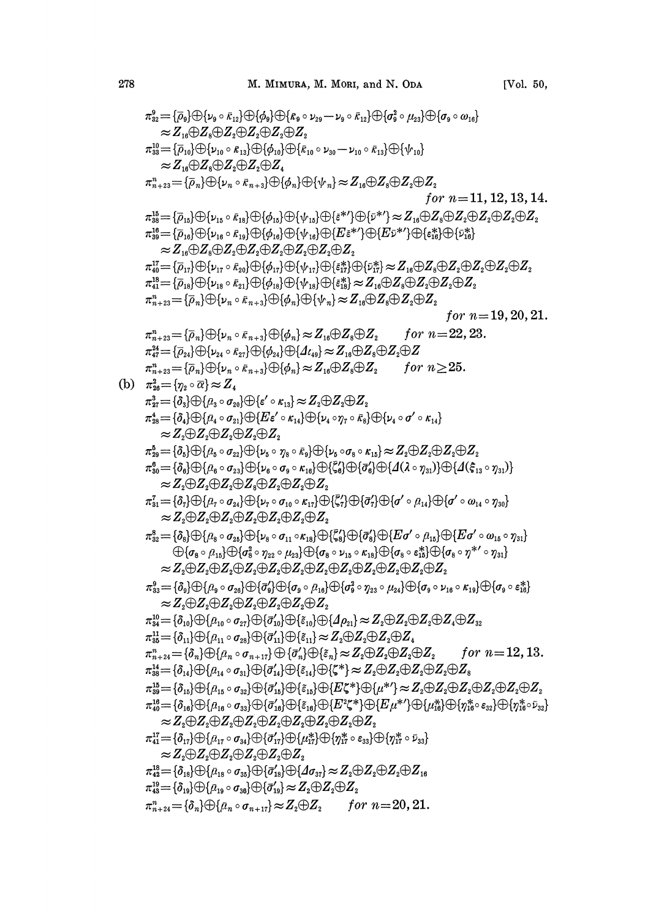$$
\begin{array}{l} \pi_{22}^{0}=[\bar{a}_{0}]\oplus[\mu_{9}\circ\bar{\kappa}_{12}]\oplus[\bar{d}_{0}]\oplus[\bar{\kappa}_{6}\circ\nu_{29}-\nu_{9}\circ\bar{\kappa}_{12}]\oplus[\bar{d}_{0}^{2}\circ\mu_{23}]\oplus[\sigma_{9}\circ\mu_{13}]\oplus[\sigma_{9}\circ\mu_{14}]\oplus[\sigma_{9}\circ\mu_{15}]\oplus[\sigma_{9}\circ\mu_{16}]\oplus[\sigma_{9}\circ\mu_{17}]\oplus[\sigma_{9}\circ\mu_{18}]\oplus[\sigma_{9}\circ\mu_{19}]\oplus[\sigma_{9}\circ\mu_{19}]\oplus[\sigma_{9}\circ\mu_{19}]\oplus[\sigma_{9}\circ\mu_{19}]\oplus[\sigma_{9}\circ\mu_{19}]\oplus[\sigma_{9}\circ\mu_{19}]\oplus[\sigma_{9}\circ\mu_{19}]\oplus[\sigma_{9}\circ\mu_{19}]\oplus[\sigma_{9}\circ\mu_{19}]\oplus[\sigma_{9}\circ\mu_{19}]\oplus[\sigma_{9}\circ\mu_{19}]\oplus[\sigma_{9}\circ\mu_{19}]\oplus[\sigma_{9}\circ\mu_{19}]\oplus[\sigma_{9}\circ\mu_{19}]\oplus[\sigma_{9}\circ\mu_{19}]\oplus[\sigma_{9}\circ\mu_{19}]\oplus[\sigma_{9}\circ\mu_{19}]\oplus[\sigma_{9}\circ\mu_{19}]\oplus[\sigma_{9}\circ\mu_{19}]\oplus[\sigma_{9}\circ\mu_{19}]\oplus[\sigma_{9}\circ\mu_{19}]\oplus[\sigma_{9}\circ\mu_{19}]\oplus[\sigma_{9}\circ\mu_{10}]\oplus[\sigma_{9}\circ\mu_{10}]\oplus[\sigma_{9}\circ\mu_{10}]\oplus[\sigma_{9}\circ\mu_{10}]\oplus[\sigma_{9}\circ\mu_{10}]\oplus[\sigma_{9}\circ\mu_{10}]\oplus[\sigma_{9}\circ\mu_{10}]\oplus[\sigma_{9}\circ\mu_{10}]\oplus[\sigma_{9}\circ\mu_{10}]\oplus[\sigma_{9}\circ\mu_{10}]\oplus[\sigma_{9}\circ\mu_{10}]\oplus[\sigma_{9}\circ\mu_{10}]\oplus[\sigma_{9}\circ\mu_{10}]\oplus[\sigma_{9}\circ\mu_{10}]\oplus[\sigma_{9}\circ\mu_{10}]\oplus[\sigma_{9}\circ\
$$

 $(b)$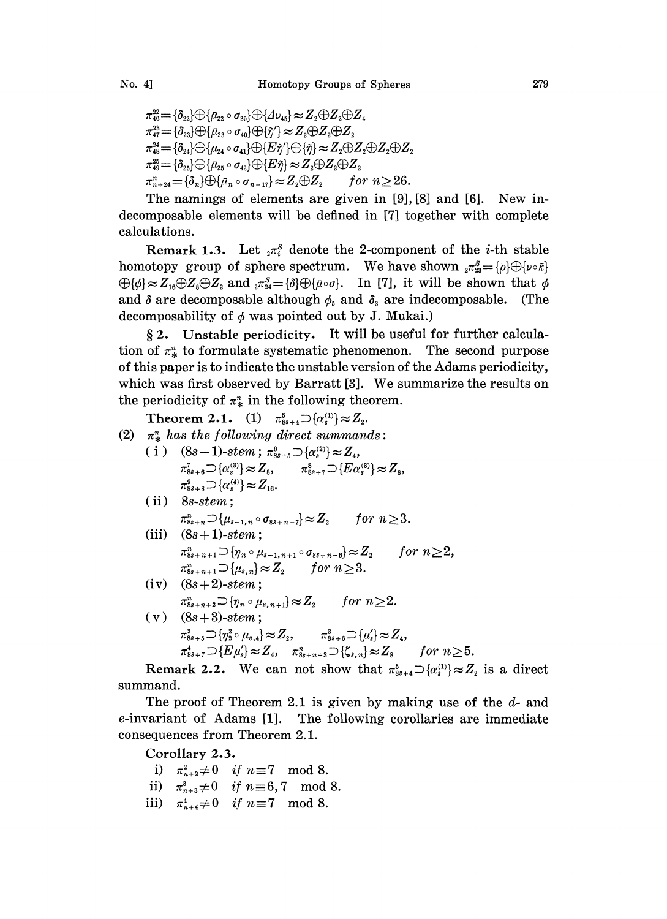$\{\vec{a}_{48} = \{\delta_{22}\}\oplus \{\vec{\mu}_{22} \circ \sigma_{39}\}\oplus \{\Delta \nu_{48}\} \approx Z_2 \oplus Z_2 \oplus Z_4$  $\pi_{47}^{23}=\{\delta_{23}\}\bigoplus\{\rho_{23}\circ\sigma_{40}\}\bigoplus\{\tilde{\eta}'\}\approx Z_2\bigoplus Z_2\bigoplus Z_3$  $\pi_{48}^{24} = {\delta_{24}}\oplus{\{\mu_{24} \circ \sigma_{41}\}}\oplus{\{E\tilde{\eta}'\}}\oplus{\{\tilde{\eta}\}}\approx Z_{2}\oplus Z_{2}\oplus Z_{2}\oplus Z_{2}$  $\pi_{49}^{\ast\ast}$  $\begin{array}{l} {\cal L}_{43}^{22} = \{ \partial_{24} \} \oplus \{ \mu_{24} \circ \sigma_{41} \} \oplus \{ E \, \tilde{\eta} \} \end{array} \approx Z_2 \oplus Z_2 \ \nonumber \ \Xi_3^{22} = \{ \partial_{25} \} \oplus \{ \mu_{25} \circ \sigma_{42} \} \oplus \{ E \, \tilde{\eta} \} \approx Z_2 \oplus Z_2 \oplus Z_2 \nonumber \ \Xi_3^{22} = \{ \partial_n \} \oplus \{ \mu_n \circ \sigma_{n+17} \} \approx Z_2 \oplus Z_2 \hspace*{9mm} for$  $\pi_{n+24}^n = {\delta_n} \oplus {\rho_n \circ \sigma_{n+17}} \approx Z_2 \oplus Z_2$  for  $n \geq 26$ .

The namings of elements are given in [9], [8] and [6]. New indecomposable elements will be defined in [7] together with complete calculations.

Remark 1.3. Let  ${}_{2}\pi$ <sup>s</sup> denote the 2-component of the *i*-th stable homotopy group of sphere spectrum. We have shown  ${}_{2}\pi_{23}^S = \{\overline{\rho}\}\oplus\{\nu\circ\overline{\kappa}\}$  $\bigoplus \{\phi\} \approx Z_{16} \oplus Z_8 \oplus Z_2$  and  ${}_{2}\pi_{24}^S = \{\delta\} \oplus \{\rho \circ \sigma\}.$  In [7], it will be shown that  $\phi$ and  $\delta$  are decomposable although  $\phi_s$  and  $\delta_s$  are indecomposable. (The decomposability of  $\phi$  was pointed out by J. Mukai.)

 $§ 2.$  Unstable periodicity. It will be useful for further calculation of  $\pi_k^n$  to formulate systematic phenomenon. The second purpose of this paper is to indicate the unstable version of the Adams periodicity, which was first observed by Barratt [3]. We summarize the results on the periodicity of  $\pi^*$  in the following theorem.

Theorem 2.1. (1)  $\pi_{8s+4}^5 \supset \{\alpha_s^{(1)}\} \approx Z_2$ . (2)  $\pi^*$  has the following direct summands: (i)  $(8s-1)$ -stem;  $\pi_{ss+s}^6 \supset \{\alpha_s^{(2)}\} \approx Z_4$ ,<br>  $\pi_{ss+s}^7 \supset \{\alpha_s^{(3)}\} \approx Z_s$ ,  $\pi_{ss+r}^8 \supset \{E\alpha_s^{(3)}\} \approx Z_s$ ,  $\pi_{8s+8}^{9} \supset \{\alpha_{s}^{(4)}\} \approx Z_{16}.$ (ii) 8s-stem;  $\pi_{8s+n}^n \supset \{ \mu_{s-1,n} \circ \sigma_{8s+n-7} \} \approx Z_2$  for  $n \geq 3$ . (iii)  $(8s + 1)$ -stem;  $\pi_{ss+n+1}^n \supset \{ \eta_n \circ \mu_{s-1,n+1} \circ \sigma_{ss+n-6} \} \approx Z_2$  for  $n \geq 2$ ,  $\pi_{ss+n+1}^n \supset \{\mu_{s,n}\} \approx Z_2$  for  $n \geq 3$ . (iv)  $(8s + 2)$ -stem;  $\pi_{ss+n+2}^n \supset \{ \eta_n \circ \mu_{s,n+1} \} \approx Z_2$  for  $n \geq 2$ . (v)  $(8s+3)$ -stem;<br>  $\pi_{8s+5}^2 \supset \{\eta_2^2 \circ \mu_{s,4}\} \approx Z_2,$   $\pi_{8s+6}^3 \supset \{\mu_s'\} \approx Z_4$ ,  $\pi_{ss+7}^4 \supset \{E\mu_s\} \approx Z_4$ ,  $\pi_{ss+n+3}^n \supset \{\zeta_{s,n}\} \approx Z_s$  for  $n \geq 5$ .

Remark 2.2. We can not show that  $\pi_{ss+4}^5 \supset \{\alpha_s^{(1)}\} \approx Z_2$  is a direct summand.

The proof of Theorem 2.1 is given by making use of the d- and e-invariant of Adams [1]. The following corollaries are immediate consequences from Theorem 2.1.

Corollary 2.3.

- i)  $\pi_{n+2}^2 \neq 0$  if  $n \equiv 7 \mod 8$ .
- ii)  $\pi_{n+3}^3 \neq 0$  if  $n \equiv 6,7 \mod 8$ .
- iii)  $\pi_{n+4}^4 \neq 0$  if  $n \equiv 7 \mod 8$ .